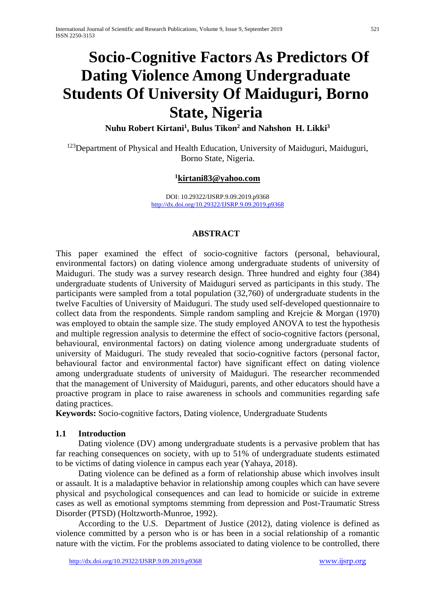# **Socio-Cognitive Factors As Predictors Of Dating Violence Among Undergraduate Students Of University Of Maiduguri, Borno State, Nigeria**

**Nuhu Robert Kirtani1 , Bulus Tikon2 and Nahshon H. Likki3**

<sup>123</sup>Department of Physical and Health Education, University of Maiduguri, Maiduguri, Borno State, Nigeria.

# **[1kirtani83@yahoo.com](mailto:kirtani83@yahoo.com)**

DOI: 10.29322/IJSRP.9.09.2019.p9368 <http://dx.doi.org/10.29322/IJSRP.9.09.2019.p9368>

# **ABSTRACT**

This paper examined the effect of socio-cognitive factors (personal, behavioural, environmental factors) on dating violence among undergraduate students of university of Maiduguri. The study was a survey research design. Three hundred and eighty four (384) undergraduate students of University of Maiduguri served as participants in this study. The participants were sampled from a total population (32,760) of undergraduate students in the twelve Faculties of University of Maiduguri. The study used self-developed questionnaire to collect data from the respondents. Simple random sampling and Krejcie & Morgan (1970) was employed to obtain the sample size. The study employed ANOVA to test the hypothesis and multiple regression analysis to determine the effect of socio-cognitive factors (personal, behavioural, environmental factors) on dating violence among undergraduate students of university of Maiduguri. The study revealed that socio-cognitive factors (personal factor, behavioural factor and environmental factor) have significant effect on dating violence among undergraduate students of university of Maiduguri. The researcher recommended that the management of University of Maiduguri, parents, and other educators should have a proactive program in place to raise awareness in schools and communities regarding safe dating practices.

**Keywords:** Socio-cognitive factors, Dating violence, Undergraduate Students

# **1.1 Introduction**

Dating violence (DV) among undergraduate students is a pervasive problem that has far reaching consequences on society, with up to 51% of undergraduate students estimated to be victims of dating violence in campus each year (Yahaya, 2018).

Dating violence can be defined as a form of relationship abuse which involves insult or assault. It is a maladaptive behavior in relationship among couples which can have severe physical and psychological consequences and can lead to homicide or suicide in extreme cases as well as emotional symptoms stemming from depression and Post-Traumatic Stress Disorder (PTSD) (Holtzworth-Munroe, 1992).

According to the U.S. Department of Justice (2012), dating violence is defined as violence committed by a person who is or has been in a social relationship of a romantic nature with the victim. For the problems associated to dating violence to be controlled, there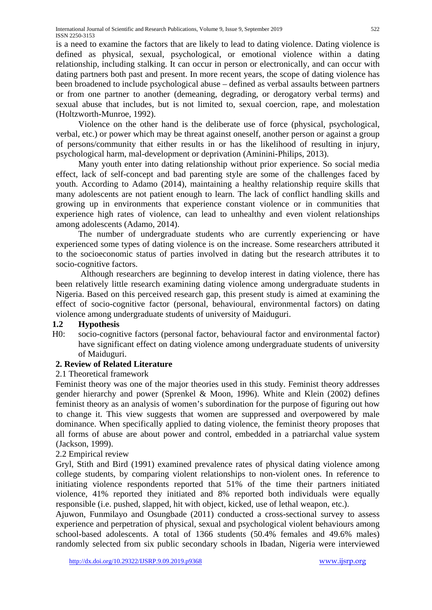is a need to examine the factors that are likely to lead to dating violence. Dating violence is defined as physical, sexual, psychological, or emotional violence within a dating relationship, including stalking. It can occur in person or electronically, and can occur with dating partners both past and present. In more recent years, the scope of dating violence has been broadened to include psychological abuse – defined as verbal assaults between partners or from one partner to another (demeaning, degrading, or derogatory verbal terms) and sexual abuse that includes, but is not limited to, sexual coercion, rape, and molestation (Holtzworth-Munroe, 1992).

Violence on the other hand is the deliberate use of force (physical, psychological, verbal, etc.) or power which may be threat against oneself, another person or against a group of persons/community that either results in or has the likelihood of resulting in injury, psychological harm, mal-development or deprivation (Aminini-Philips, 2013).

Many youth enter into dating relationship without prior experience. So social media effect, lack of self-concept and bad parenting style are some of the challenges faced by youth. According to Adamo (2014), maintaining a healthy relationship require skills that many adolescents are not patient enough to learn. The lack of conflict handling skills and growing up in environments that experience constant violence or in communities that experience high rates of violence, can lead to unhealthy and even violent relationships among adolescents (Adamo, 2014).

The number of undergraduate students who are currently experiencing or have experienced some types of dating violence is on the increase. Some researchers attributed it to the socioeconomic status of parties involved in dating but the research attributes it to socio-cognitive factors.

Although researchers are beginning to develop interest in dating violence, there has been relatively little research examining dating violence among undergraduate students in Nigeria. Based on this perceived research gap, this present study is aimed at examining the effect of socio-cognitive factor (personal, behavioural, environmental factors) on dating violence among undergraduate students of university of Maiduguri.

# **1.2 Hypothesis**

H0: socio-cognitive factors (personal factor, behavioural factor and environmental factor) have significant effect on dating violence among undergraduate students of university of Maiduguri.

# **2. Review of Related Literature**

# 2.1 Theoretical framework

Feminist theory was one of the major theories used in this study. Feminist theory addresses gender hierarchy and power (Sprenkel & Moon, 1996). White and Klein (2002) defines feminist theory as an analysis of women's subordination for the purpose of figuring out how to change it. This view suggests that women are suppressed and overpowered by male dominance. When specifically applied to dating violence, the feminist theory proposes that all forms of abuse are about power and control, embedded in a patriarchal value system (Jackson, 1999).

# 2.2 Empirical review

Gryl, Stith and Bird (1991) examined prevalence rates of physical dating violence among college students, by comparing violent relationships to non-violent ones. In reference to initiating violence respondents reported that 51% of the time their partners initiated violence, 41% reported they initiated and 8% reported both individuals were equally responsible (i.e. pushed, slapped, hit with object, kicked, use of lethal weapon, etc.).

Ajuwon, Funmilayo and Osungbade (2011) conducted a cross-sectional survey to assess experience and perpetration of physical, sexual and psychological violent behaviours among school-based adolescents. A total of 1366 students (50.4% females and 49.6% males) randomly selected from six public secondary schools in Ibadan, Nigeria were interviewed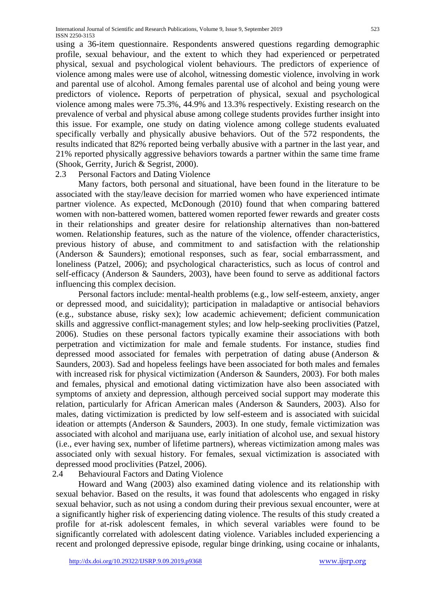using a 36-item questionnaire. Respondents answered questions regarding demographic profile, sexual behaviour, and the extent to which they had experienced or perpetrated physical, sexual and psychological violent behaviours. The predictors of experience of violence among males were use of alcohol, witnessing domestic violence, involving in work and parental use of alcohol. Among females parental use of alcohol and being young were predictors of violence**.** Reports of perpetration of physical, sexual and psychological violence among males were 75.3%, 44.9% and 13.3% respectively. Existing research on the prevalence of verbal and physical abuse among college students provides further insight into this issue. For example, one study on dating violence among college students evaluated specifically verbally and physically abusive behaviors. Out of the 572 respondents, the results indicated that 82% reported being verbally abusive with a partner in the last year, and 21% reported physically aggressive behaviors towards a partner within the same time frame (Shook, Gerrity, Jurich & Segrist, 2000).

#### 2.3 Personal Factors and Dating Violence

Many factors, both personal and situational, have been found in the literature to be associated with the stay/leave decision for married women who have experienced intimate partner violence. As expected, McDonough (2010) found that when comparing battered women with non-battered women, battered women reported fewer rewards and greater costs in their relationships and greater desire for relationship alternatives than non-battered women. Relationship features, such as the nature of the violence, offender characteristics, previous history of abuse, and commitment to and satisfaction with the relationship (Anderson & Saunders); emotional responses, such as fear, social embarrassment, and loneliness (Patzel, 2006); and psychological characteristics, such as locus of control and self-efficacy (Anderson & Saunders, 2003), have been found to serve as additional factors influencing this complex decision.

Personal factors include: mental-health problems (e.g., low self-esteem, anxiety, anger or depressed mood, and suicidality); participation in maladaptive or antisocial behaviors (e.g., substance abuse, risky sex); low academic achievement; deficient communication skills and aggressive conflict-management styles; and low help-seeking proclivities (Patzel, 2006). Studies on these personal factors typically examine their associations with both perpetration and victimization for male and female students. For instance, studies find depressed mood associated for females with perpetration of dating abuse (Anderson & Saunders, 2003). Sad and hopeless feelings have been associated for both males and females with increased risk for physical victimization (Anderson & Saunders, 2003). For both males and females, physical and emotional dating victimization have also been associated with symptoms of anxiety and depression, although perceived social support may moderate this relation, particularly for African American males (Anderson & Saunders, 2003). Also for males, dating victimization is predicted by low self-esteem and is associated with suicidal ideation or attempts (Anderson & Saunders, 2003). In one study, female victimization was associated with alcohol and marijuana use, early initiation of alcohol use, and sexual history (i.e., ever having sex, number of lifetime partners), whereas victimization among males was associated only with sexual history. For females, sexual victimization is associated with depressed mood proclivities (Patzel, 2006).

#### 2.4 Behavioural Factors and Dating Violence

Howard and Wang (2003) also examined dating violence and its relationship with sexual behavior. Based on the results, it was found that adolescents who engaged in risky sexual behavior, such as not using a condom during their previous sexual encounter, were at a significantly higher risk of experiencing dating violence. The results of this study created a profile for at-risk adolescent females, in which several variables were found to be significantly correlated with adolescent dating violence. Variables included experiencing a recent and prolonged depressive episode, regular binge drinking, using cocaine or inhalants,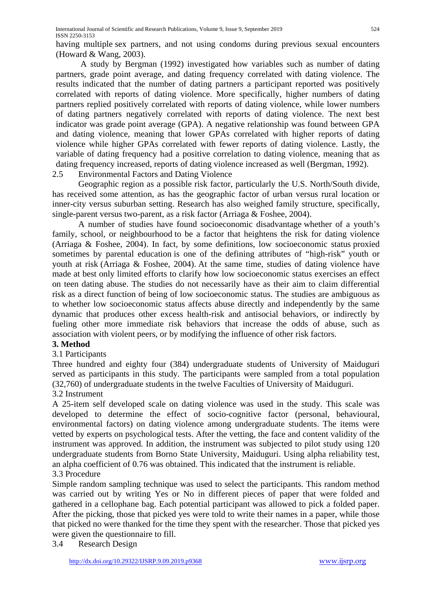having multiple sex partners, and not using condoms during previous sexual encounters (Howard & Wang, 2003).

A study by Bergman (1992) investigated how variables such as number of dating partners, grade point average, and dating frequency correlated with dating violence. The results indicated that the number of dating partners a participant reported was positively correlated with reports of dating violence. More specifically, higher numbers of dating partners replied positively correlated with reports of dating violence, while lower numbers of dating partners negatively correlated with reports of dating violence. The next best indicator was grade point average (GPA). A negative relationship was found between GPA and dating violence, meaning that lower GPAs correlated with higher reports of dating violence while higher GPAs correlated with fewer reports of dating violence. Lastly, the variable of dating frequency had a positive correlation to dating violence, meaning that as dating frequency increased, reports of dating violence increased as well (Bergman, 1992).

#### 2.5 Environmental Factors and Dating Violence

Geographic region as a possible risk factor, particularly the U.S. North/South divide, has received some attention, as has the geographic factor of urban versus rural location or inner-city versus suburban setting. Research has also weighed family structure, specifically, single-parent versus two-parent, as a risk factor (Arriaga & Foshee, 2004).

A number of studies have found socioeconomic disadvantage whether of a youth's family, school, or neighbourhood to be a factor that heightens the risk for dating violence (Arriaga & Foshee, 2004). In fact, by some definitions, low socioeconomic status proxied sometimes by parental education is one of the defining attributes of "high-risk" youth or youth at risk (Arriaga & Foshee, 2004). At the same time, studies of dating violence have made at best only limited efforts to clarify how low socioeconomic status exercises an effect on teen dating abuse. The studies do not necessarily have as their aim to claim differential risk as a direct function of being of low socioeconomic status. The studies are ambiguous as to whether low socioeconomic status affects abuse directly and independently by the same dynamic that produces other excess health-risk and antisocial behaviors, or indirectly by fueling other more immediate risk behaviors that increase the odds of abuse, such as association with violent peers, or by modifying the influence of other risk factors.

#### **3. Method**

#### 3.1 Participants

Three hundred and eighty four (384) undergraduate students of University of Maiduguri served as participants in this study. The participants were sampled from a total population (32,760) of undergraduate students in the twelve Faculties of University of Maiduguri.

#### 3.2 Instrument

A 25-item self developed scale on dating violence was used in the study. This scale was developed to determine the effect of socio-cognitive factor (personal, behavioural, environmental factors) on dating violence among undergraduate students. The items were vetted by experts on psychological tests. After the vetting, the face and content validity of the instrument was approved. In addition, the instrument was subjected to pilot study using 120 undergraduate students from Borno State University, Maiduguri. Using alpha reliability test, an alpha coefficient of 0.76 was obtained. This indicated that the instrument is reliable.

#### 3.3 Procedure

Simple random sampling technique was used to select the participants. This random method was carried out by writing Yes or No in different pieces of paper that were folded and gathered in a cellophane bag. Each potential participant was allowed to pick a folded paper. After the picking, those that picked yes were told to write their names in a paper, while those that picked no were thanked for the time they spent with the researcher. Those that picked yes were given the questionnaire to fill.

#### 3.4 Research Design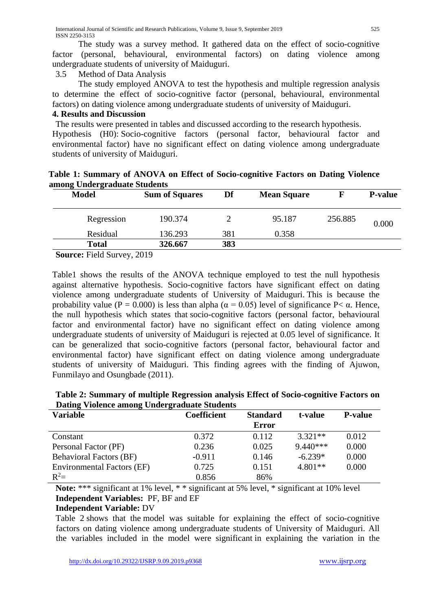The study was a survey method. It gathered data on the effect of socio-cognitive factor (personal, behavioural, environmental factors) on dating violence among undergraduate students of university of Maiduguri.

# 3.5 Method of Data Analysis

The study employed ANOVA to test the hypothesis and multiple regression analysis to determine the effect of socio-cognitive factor (personal, behavioural, environmental factors) on dating violence among undergraduate students of university of Maiduguri.

#### **4. Results and Discussion**

The results were presented in tables and discussed according to the research hypothesis. Hypothesis (H0): Socio-cognitive factors (personal factor, behavioural factor and environmental factor) have no significant effect on dating violence among undergraduate students of university of Maiduguri.

| Table 1: Summary of ANOVA on Effect of Socio-cognitive Factors on Dating Violence |  |  |
|-----------------------------------------------------------------------------------|--|--|
| among Undergraduate Students                                                      |  |  |

|        | <b>Model</b>              | <b>Sum of Squares</b>             | Df  | <b>Mean Square</b> |         | <b>P-value</b> |
|--------|---------------------------|-----------------------------------|-----|--------------------|---------|----------------|
|        | Regression                | 190.374                           |     | 95.187             | 256.885 | 0.000          |
|        | Residual                  | 136.293                           | 381 | 0.358              |         |                |
|        | <b>Total</b>              | 326.667                           | 383 |                    |         |                |
| $\sim$ | $\mathbf{m}$ $\mathbf{m}$ | $\bullet \bullet \bullet \bullet$ |     |                    |         |                |

**Source:** Field Survey, 2019

Table1 shows the results of the ANOVA technique employed to test the null hypothesis against alternative hypothesis. Socio-cognitive factors have significant effect on dating violence among undergraduate students of University of Maiduguri. This is because the probability value (P = 0.000) is less than alpha ( $\alpha$  = 0.05) level of significance P<  $\alpha$ . Hence, the null hypothesis which states that socio-cognitive factors (personal factor, behavioural factor and environmental factor) have no significant effect on dating violence among undergraduate students of university of Maiduguri is rejected at 0.05 level of significance. It can be generalized that socio-cognitive factors (personal factor, behavioural factor and environmental factor) have significant effect on dating violence among undergraduate students of university of Maiduguri. This finding agrees with the finding of Ajuwon, Funmilayo and Osungbade (2011).

| Dating violence among Unuei graduate Students |                    |                 |            |                |
|-----------------------------------------------|--------------------|-----------------|------------|----------------|
| <b>Variable</b>                               | <b>Coefficient</b> | <b>Standard</b> | t-value    | <b>P-value</b> |
|                                               |                    | Error           |            |                |
| Constant                                      | 0.372              | 0.112           | $3.321**$  | 0.012          |
| Personal Factor (PF)                          | 0.236              | 0.025           | $9.440***$ | 0.000          |
| <b>Behavioral Factors (BF)</b>                | $-0.911$           | 0.146           | $-6.239*$  | 0.000          |
| <b>Environmental Factors (EF)</b>             | 0.725              | 0.151           | $4.801**$  | 0.000          |
| $R^2=$                                        | 0.856              | 86%             |            |                |

#### **Table 2: Summary of multiple Regression analysis Effect of Socio-cognitive Factors on Dating Violence among Undergraduate Students**

**Note:** \*\*\* significant at 1% level, \* \* significant at 5% level, \* significant at 10% level **Independent Variables:**PF, BF and EF

# **Independent Variable:** DV

Table 2 shows that the model was suitable for explaining the effect of socio-cognitive factors on dating violence among undergraduate students of University of Maiduguri. All the variables included in the model were significant in explaining the variation in the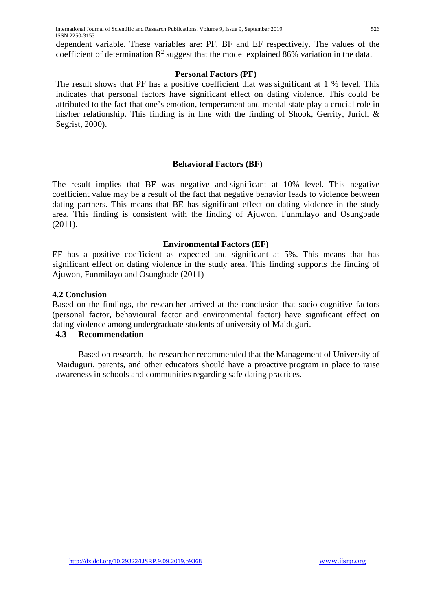dependent variable. These variables are: PF, BF and EF respectively. The values of the coefficient of determination  $\mathbb{R}^2$  suggest that the model explained 86% variation in the data.

#### **Personal Factors (PF)**

The result shows that PF has a positive coefficient that was significant at 1 % level. This indicates that personal factors have significant effect on dating violence. This could be attributed to the fact that one's emotion, temperament and mental state play a crucial role in his/her relationship. This finding is in line with the finding of Shook, Gerrity, Jurich & Segrist, 2000).

#### **Behavioral Factors (BF)**

The result implies that BF was negative and significant at 10% level. This negative coefficient value may be a result of the fact that negative behavior leads to violence between dating partners. This means that BE has significant effect on dating violence in the study area. This finding is consistent with the finding of Ajuwon, Funmilayo and Osungbade (2011).

#### **Environmental Factors (EF)**

EF has a positive coefficient as expected and significant at 5%. This means that has significant effect on dating violence in the study area. This finding supports the finding of Ajuwon, Funmilayo and Osungbade (2011)

#### **4.2 Conclusion**

Based on the findings, the researcher arrived at the conclusion that socio-cognitive factors (personal factor, behavioural factor and environmental factor) have significant effect on dating violence among undergraduate students of university of Maiduguri.

# **4.3 Recommendation**

Based on research, the researcher recommended that the Management of University of Maiduguri, parents, and other educators should have a proactive program in place to raise awareness in schools and communities regarding safe dating practices.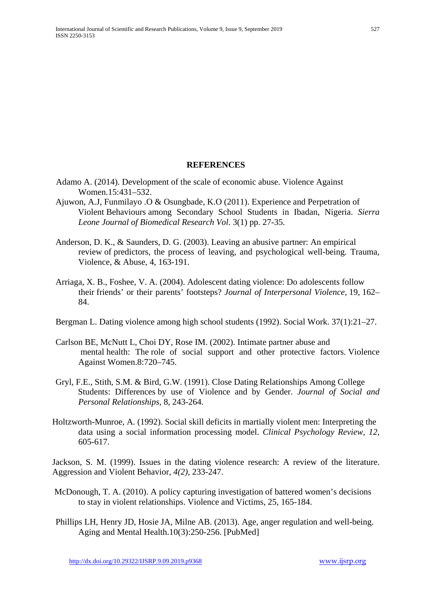#### **REFERENCES**

- Adamo A. (2014). Development of the scale of economic abuse. Violence Against Women.15:431–532.
- Ajuwon, A.J, Funmilayo .O & Osungbade, K.O (2011). Experience and Perpetration of Violent Behaviours among Secondary School Students in Ibadan, Nigeria. *Sierra Leone Journal of Biomedical Research Vol*. 3(1) pp. 27-35.
- Anderson, D. K., & Saunders, D. G. (2003). Leaving an abusive partner: An empirical review of predictors, the process of leaving, and psychological well-being. Trauma, Violence, & Abuse, 4, 163-191.
- Arriaga, X. B., Foshee, V. A. (2004). Adolescent dating violence: Do adolescents follow their friends' or their parents' footsteps? *Journal of Interpersonal Violence*, 19, 162– 84.
- Bergman L. Dating violence among high school students (1992). Social Work. 37(1):21–27.
- Carlson BE, McNutt L, Choi DY, Rose IM. (2002). Intimate partner abuse and mental health: The role of social support and other protective factors. Violence Against Women.8:720–745.
- Gryl, F.E., Stith, S.M. & Bird, G.W. (1991). Close Dating Relationships Among College Students: Differences by use of Violence and by Gender. *Journal of Social and Personal Relationships*, 8, 243-264.
- Holtzworth-Munroe, A. (1992). Social skill deficits in martially violent men: Interpreting the data using a social information processing model. *Clinical Psychology Review, 12,*  605-617.

Jackson, S. M. (1999). Issues in the dating violence research: A review of the literature. Aggression and Violent Behavior*, 4(2),* 233-247.

- McDonough, T. A. (2010). A policy capturing investigation of battered women's decisions to stay in violent relationships. Violence and Victims, 25, 165-184.
- Phillips LH, Henry JD, Hosie JA, Milne AB. (2013). Age, anger regulation and well-being. Aging and Mental Health.10(3):250-256. [PubMed]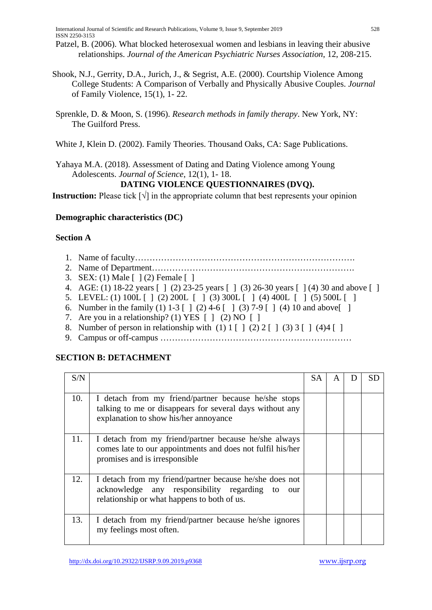Patzel, B. (2006). What blocked heterosexual women and lesbians in leaving their abusive relationships. *Journal of the American Psychiatric Nurses Association*, 12, 208-215.

- Shook, N.J., Gerrity, D.A., Jurich, J., & Segrist, A.E. (2000). Courtship Violence Among College Students: A Comparison of Verbally and Physically Abusive Couples. *Journal*  of Family Violence, 15(1), 1- 22.
- Sprenkle, D. & Moon, S. (1996). *Research methods in family therapy*. New York, NY: The Guilford Press.
- White J, Klein D. (2002). Family Theories. Thousand Oaks, CA: Sage Publications.

Yahaya M.A. (2018). Assessment of Dating and Dating Violence among Young Adolescents. *Journal of Science*, 12(1), 1- 18.

#### **DATING VIOLENCE QUESTIONNAIRES (DVQ).**

**Instruction:** Please tick  $[\sqrt{\ }]$  in the appropriate column that best represents your opinion

#### **Demographic characteristics (DC)**

#### **Section A**

- 1. Name of faculty………………………………………………………………….
- 2. Name of Department…………………………………………………………….
- 3. SEX: (1) Male [ ] (2) Female [ ]
- 4. AGE: (1) 18-22 years [ ] (2) 23-25 years [ ] (3) 26-30 years [ ] (4) 30 and above [ ]
- 5. LEVEL: (1) 100L [ ] (2) 200L [ ] (3) 300L [ ] (4) 400L [ ] (5) 500L [ ]
- 6. Number in the family (1) 1-3 [ ] (2) 4-6 [ ] (3) 7-9 [ ] (4) 10 and above[ ]
- 7. Are you in a relationship? (1) YES [ ] (2) NO [ ]
- 8. Number of person in relationship with  $(1) 1 \begin{bmatrix} 1 \\ 2 \end{bmatrix}$   $(2) 2 \begin{bmatrix} 1 \\ 3 \end{bmatrix}$   $(3) 3 \begin{bmatrix} 1 \\ 4 \end{bmatrix}$
- 9. Campus or off-campus …………………………………………………………

# **SECTION B: DETACHMENT**

| S/N |                                                                                                                                                              | SА | A | SD |
|-----|--------------------------------------------------------------------------------------------------------------------------------------------------------------|----|---|----|
| 10. | I detach from my friend/partner because he/she stops<br>talking to me or disappears for several days without any<br>explanation to show his/her annoyance    |    |   |    |
| 11. | I detach from my friend/partner because he/she always<br>comes late to our appointments and does not fulfil his/her<br>promises and is irresponsible.        |    |   |    |
| 12. | I detach from my friend/partner because he/she does not<br>acknowledge any responsibility regarding to<br>our<br>relationship or what happens to both of us. |    |   |    |
| 13. | I detach from my friend/partner because he/she ignores<br>my feelings most often.                                                                            |    |   |    |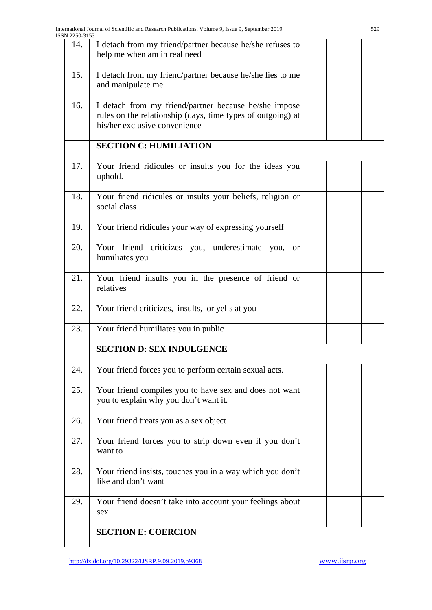| 14. | I detach from my friend/partner because he/she refuses to<br>help me when am in real need                                                             |  |  |
|-----|-------------------------------------------------------------------------------------------------------------------------------------------------------|--|--|
| 15. | I detach from my friend/partner because he/she lies to me<br>and manipulate me.                                                                       |  |  |
| 16. | I detach from my friend/partner because he/she impose<br>rules on the relationship (days, time types of outgoing) at<br>his/her exclusive convenience |  |  |
|     | <b>SECTION C: HUMILIATION</b>                                                                                                                         |  |  |
| 17. | Your friend ridicules or insults you for the ideas you<br>uphold.                                                                                     |  |  |
| 18. | Your friend ridicules or insults your beliefs, religion or<br>social class                                                                            |  |  |
| 19. | Your friend ridicules your way of expressing yourself                                                                                                 |  |  |
| 20. | Your friend criticizes you, underestimate you,<br>or<br>humiliates you                                                                                |  |  |
| 21. | Your friend insults you in the presence of friend or<br>relatives                                                                                     |  |  |
| 22. | Your friend criticizes, insults, or yells at you                                                                                                      |  |  |
| 23. | Your friend humiliates you in public                                                                                                                  |  |  |
|     | <b>SECTION D: SEX INDULGENCE</b>                                                                                                                      |  |  |
| 24. | Your friend forces you to perform certain sexual acts.                                                                                                |  |  |
| 25. | Your friend compiles you to have sex and does not want<br>you to explain why you don't want it.                                                       |  |  |
| 26. | Your friend treats you as a sex object                                                                                                                |  |  |
| 27. | Your friend forces you to strip down even if you don't<br>want to                                                                                     |  |  |
| 28. | Your friend insists, touches you in a way which you don't<br>like and don't want                                                                      |  |  |
| 29. | Your friend doesn't take into account your feelings about<br>sex                                                                                      |  |  |
|     | <b>SECTION E: COERCION</b>                                                                                                                            |  |  |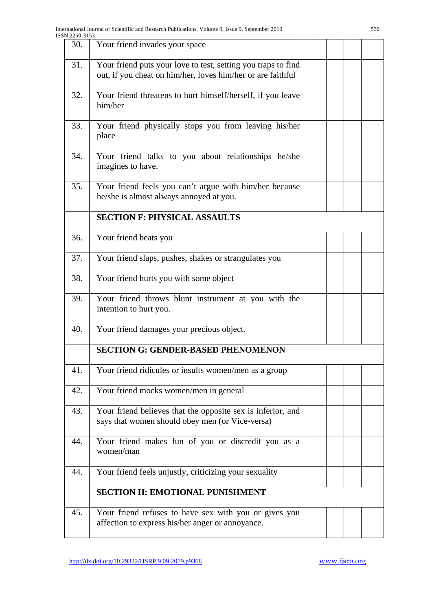| 30. | Your friend invades your space                                                                                               |  |  |
|-----|------------------------------------------------------------------------------------------------------------------------------|--|--|
| 31. | Your friend puts your love to test, setting you traps to find<br>out, if you cheat on him/her, loves him/her or are faithful |  |  |
| 32. | Your friend threatens to hurt himself/herself, if you leave<br>him/her                                                       |  |  |
| 33. | Your friend physically stops you from leaving his/her<br>place                                                               |  |  |
| 34. | Your friend talks to you about relationships he/she<br>imagines to have.                                                     |  |  |
| 35. | Your friend feels you can't argue with him/her because<br>he/she is almost always annoyed at you.                            |  |  |
|     | <b>SECTION F: PHYSICAL ASSAULTS</b>                                                                                          |  |  |
| 36. | Your friend beats you                                                                                                        |  |  |
| 37. | Your friend slaps, pushes, shakes or strangulates you                                                                        |  |  |
| 38. | Your friend hurts you with some object                                                                                       |  |  |
| 39. | Your friend throws blunt instrument at you with the<br>intention to hurt you.                                                |  |  |
| 40. | Your friend damages your precious object.                                                                                    |  |  |
|     | <b>SECTION G: GENDER-BASED PHENOMENON</b>                                                                                    |  |  |
| 41. | Your friend ridicules or insults women/men as a group                                                                        |  |  |
| 42. | Your friend mocks women/men in general                                                                                       |  |  |
| 43. | Your friend believes that the opposite sex is inferior, and<br>says that women should obey men (or Vice-versa)               |  |  |
| 44. | Your friend makes fun of you or discredit you as a<br>women/man                                                              |  |  |
| 44. | Your friend feels unjustly, criticizing your sexuality                                                                       |  |  |
|     | <b>SECTION H: EMOTIONAL PUNISHMENT</b>                                                                                       |  |  |
| 45. | Your friend refuses to have sex with you or gives you<br>affection to express his/her anger or annoyance.                    |  |  |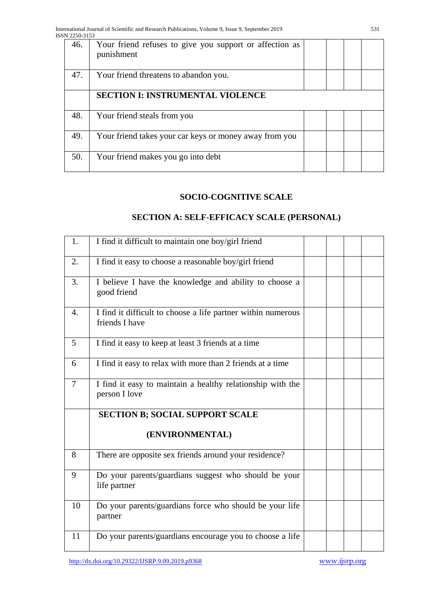| 46. | Your friend refuses to give you support or affection as<br>punishment |  |  |
|-----|-----------------------------------------------------------------------|--|--|
| 47. | Your friend threatens to abandon you.                                 |  |  |
|     | <b>SECTION I: INSTRUMENTAL VIOLENCE</b>                               |  |  |
| 48. | Your friend steals from you                                           |  |  |
| 49. | Your friend takes your car keys or money away from you                |  |  |
| 50. | Your friend makes you go into debt                                    |  |  |

# **SOCIO-COGNITIVE SCALE**

# **SECTION A: SELF-EFFICACY SCALE (PERSONAL)**

| 1.             | I find it difficult to maintain one boy/girl friend                            |  |  |
|----------------|--------------------------------------------------------------------------------|--|--|
| 2.             | I find it easy to choose a reasonable boy/girl friend                          |  |  |
| 3.             | I believe I have the knowledge and ability to choose a<br>good friend          |  |  |
| 4.             | I find it difficult to choose a life partner within numerous<br>friends I have |  |  |
| 5              | I find it easy to keep at least 3 friends at a time                            |  |  |
| 6              | I find it easy to relax with more than 2 friends at a time                     |  |  |
| $\overline{7}$ | I find it easy to maintain a healthy relationship with the<br>person I love    |  |  |
|                | <b>SECTION B; SOCIAL SUPPORT SCALE</b>                                         |  |  |
|                | (ENVIRONMENTAL)                                                                |  |  |
| 8              | There are opposite sex friends around your residence?                          |  |  |
| 9              | Do your parents/guardians suggest who should be your<br>life partner           |  |  |
| 10             | Do your parents/guardians force who should be your life<br>partner             |  |  |
| 11             | Do your parents/guardians encourage you to choose a life                       |  |  |